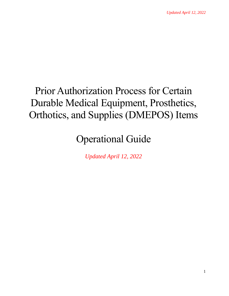# Prior Authorization Process for Certain Durable Medical Equipment, Prosthetics, Orthotics, and Supplies (DMEPOS) Items

## Operational Guide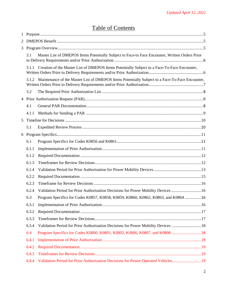## Table of Contents

| 3 |       |                                                                                                 |  |
|---|-------|-------------------------------------------------------------------------------------------------|--|
|   | 3.1   | Master List of DMEPOS Items Potentially Subject to Face-to Face Encounter, Written Orders Prior |  |
|   | 3.1.1 | Creation of the Master List of DMEPOS Items Potentially Subject to a Face-To-Face Encounter,    |  |
|   | 3.1.2 | Maintenance of the Master List of DMEPOS Items Potentially Subject to a Face-To-Face Encounter, |  |
|   | 3.2   |                                                                                                 |  |
|   |       |                                                                                                 |  |
|   | 4.1   |                                                                                                 |  |
|   | 4.1.1 |                                                                                                 |  |
| 5 |       |                                                                                                 |  |
|   | 5.1   |                                                                                                 |  |
|   |       |                                                                                                 |  |
|   | 6.1   |                                                                                                 |  |
|   | 6.1.1 |                                                                                                 |  |
|   | 6.1.2 |                                                                                                 |  |
|   | 6.1.3 |                                                                                                 |  |
|   | 6.1.4 |                                                                                                 |  |
|   | 6.2.2 |                                                                                                 |  |
|   | 6.2.3 |                                                                                                 |  |
|   | 6.2.4 | Validation Period for Prior Authorization Decisions for Power Mobility Devices  16              |  |
|   | 6.3   | Program Specifics for Codes K0857, K0858, K0859, K0860, K0862, K0863, and K0864 16              |  |
|   | 6.3.1 |                                                                                                 |  |
|   | 6.3.2 |                                                                                                 |  |
|   | 6.3.3 |                                                                                                 |  |
|   | 6.3.4 | Validation Period for Prior Authorization Decisions for Power Mobility Devices  18              |  |
|   | 6.4   |                                                                                                 |  |
|   | 6.4.1 |                                                                                                 |  |
|   | 6.4.2 |                                                                                                 |  |
|   | 6.4.3 |                                                                                                 |  |
|   | 6.4.4 | Validation Period for Prior Authorization Decisions for Power Operated Vehicles19               |  |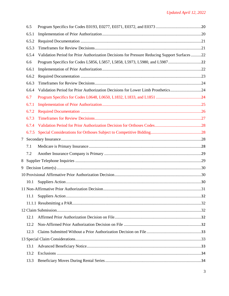|   | 6.5   |                                                                                              |  |
|---|-------|----------------------------------------------------------------------------------------------|--|
|   | 6.5.1 |                                                                                              |  |
|   | 6.5.2 |                                                                                              |  |
|   | 6.5.3 |                                                                                              |  |
|   | 6.5.4 | Validation Period for Prior Authorization Decisions for Pressure Reducing Support Surfaces22 |  |
|   | 6.6   |                                                                                              |  |
|   | 6.6.1 |                                                                                              |  |
|   | 6.6.2 |                                                                                              |  |
|   | 6.6.3 |                                                                                              |  |
|   | 6.6.4 | Validation Period for Prior Authorization Decisions for Lower Limb Prosthetics24             |  |
|   | 6.7   |                                                                                              |  |
|   | 6.7.1 |                                                                                              |  |
|   | 6.7.2 |                                                                                              |  |
|   | 6.7.3 |                                                                                              |  |
|   | 6.7.4 |                                                                                              |  |
|   | 6.7.5 |                                                                                              |  |
|   |       |                                                                                              |  |
|   | 7.1   |                                                                                              |  |
|   | 7.2   |                                                                                              |  |
| 8 |       |                                                                                              |  |
|   |       |                                                                                              |  |
|   |       |                                                                                              |  |
|   | 10.1  |                                                                                              |  |
|   |       |                                                                                              |  |
|   | 11.1  |                                                                                              |  |
|   |       |                                                                                              |  |
|   |       |                                                                                              |  |
|   | 12.1  |                                                                                              |  |
|   | 12.2  |                                                                                              |  |
|   | 12.3  |                                                                                              |  |
|   |       |                                                                                              |  |
|   | 13.1  |                                                                                              |  |
|   | 13.2  |                                                                                              |  |
|   | 13.3  |                                                                                              |  |
|   |       |                                                                                              |  |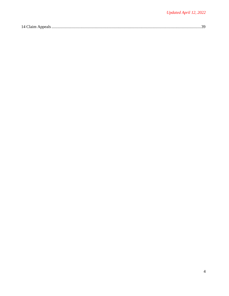|--|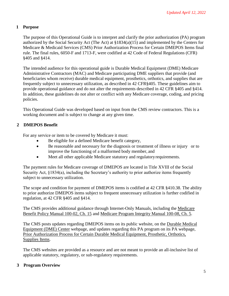## <span id="page-4-0"></span>**1 Purpose**

The purpose of this Operational Guide is to interpret and clarify the prior authorization (PA) program authorized by the Social Security Act (The Act) at §1834(a)(15) and implemented by the Centers for Medicare & Medicaid Services (CMS) Prior Authorization Process for Certain DMEPOS Items final rule. The final rules, 6050-F and 1713-F, were codified at 42 Code of Federal Regulations (CFR) §405 and §414.

The intended audience for this operational guide is Durable Medical Equipment (DME) Medicare Administrative Contractors (MAC) and Medicare participating DME suppliers that provide (and beneficiaries whom receive) durable medical equipment, prosthetics, orthotics, and supplies that are frequently subject to unnecessary utilization, as described in 42 CFR§405. These guidelines aim to provide operational guidance and do not alter the requirements described in 42 CFR §405 and §414. In addition, these guidelines do not alter or conflict with any Medicare coverage, coding, and pricing policies.

This Operational Guide was developed based on input from the CMS review contractors. This is a working document and is subject to change at any given time.

## <span id="page-4-1"></span>**2 DMEPOS Benefit**

For any service or item to be covered by Medicare it must:

- Be eligible for a defined Medicare benefit category,
- Be reasonable and necessary for the diagnosis or treatment of illness or injury or to improve the functioning of a malformed body member, and
- Meet all other applicable Medicare statutory and regulatory requirements.

The payment rules for Medicare coverage of DMEPOS are located in Title XVIII of the Social Security Act, §1834(a), including the Secretary's authority to prior authorize items frequently subject to unnecessary utilization.

The scope and condition for payment of DMEPOS items is codified at 42 CFR §410.38. The ability to prior authorize DMEPOS items subject to frequent unnecessary utilization is further codified in regulation, at 42 CFR §405 and §414.

The CMS provides additional guidance through Internet-Only Manuals, including the [Medicare](https://www.cms.gov/Regulations-and-Guidance/Guidance/Manuals/Downloads/bp102c15.pdf) [Benefit Policy Manual 100-02, Ch. 15](https://www.cms.gov/Regulations-and-Guidance/Guidance/Manuals/Downloads/bp102c15.pdf) and [Medicare Program Integrity Manual 100-08, Ch. 5.](https://www.cms.gov/Regulations-and-Guidance/Guidance/Manuals/Downloads/pim83c05.pdf)

The CMS posts updates regarding DMEPOS items on its public website, on the [Durable Medical](https://www.cms.gov/Center/Provider-Type/Durable-Medical-Equipment-DME-Center.html) [Equipment \(DME\) Center](https://www.cms.gov/Center/Provider-Type/Durable-Medical-Equipment-DME-Center.html) webpage, and updates regarding this PA program on its PA webpage, [Prior Authorization Process for Certain Durable Medical Equipment, Prosthetic, Orthotics,](https://www.cms.gov/Research-Statistics-Data-and-Systems/Monitoring-Programs/Medicare-FFS-Compliance-Programs/DMEPOS/Prior-Authorization-Process-for-Certain-Durable-Medical-Equipment-Prosthetic-Orthotics-Supplies-Items.html) [Supplies Items.](https://www.cms.gov/Research-Statistics-Data-and-Systems/Monitoring-Programs/Medicare-FFS-Compliance-Programs/DMEPOS/Prior-Authorization-Process-for-Certain-Durable-Medical-Equipment-Prosthetic-Orthotics-Supplies-Items.html)

The CMS websites are provided as a resource and are not meant to provide an all-inclusive list of applicable statutory, regulatory, or sub-regulatory requirements.

## <span id="page-4-2"></span>**3 Program Overview**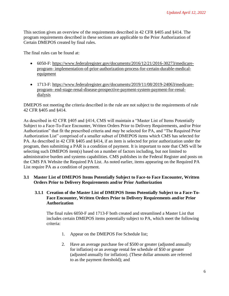This section gives an overview of the requirements described in 42 CFR §405 and §414. The program requirements described in these sections are applicable to the Prior Authorization of Certain DMEPOS created by final rules.

The final rules can be found at:

- 6050-F: [https://www.federalregister.gov/documents/2016/12/21/2016-30273/medicare](https://www.federalregister.gov/documents/2016/12/21/2016-30273/medicare-program-implementation-of-prior-authorization-process-for-certain-durable-medical-equipment)[program-](https://www.federalregister.gov/documents/2016/12/21/2016-30273/medicare-program-implementation-of-prior-authorization-process-for-certain-durable-medical-equipment) [implementation-of-prior-authorization-process-for-certain-durable-medical](https://www.federalregister.gov/documents/2016/12/21/2016-30273/medicare-program-implementation-of-prior-authorization-process-for-certain-durable-medical-equipment)[equipment](https://www.federalregister.gov/documents/2016/12/21/2016-30273/medicare-program-implementation-of-prior-authorization-process-for-certain-durable-medical-equipment)
- 1713-F: [https://www.federalregister.gov/documents/2019/11/08/2019-24063/medicare](https://www.federalregister.gov/documents/2019/11/08/2019-24063/medicare-program-end-stage-renal-disease-prospective-payment-system-payment-for-renal-dialysis)[program-](https://www.federalregister.gov/documents/2019/11/08/2019-24063/medicare-program-end-stage-renal-disease-prospective-payment-system-payment-for-renal-dialysis) [end-stage-renal-disease-prospective-payment-system-payment-for-renal](https://www.federalregister.gov/documents/2019/11/08/2019-24063/medicare-program-end-stage-renal-disease-prospective-payment-system-payment-for-renal-dialysis)[dialysis](https://www.federalregister.gov/documents/2019/11/08/2019-24063/medicare-program-end-stage-renal-disease-prospective-payment-system-payment-for-renal-dialysis)

DMEPOS not meeting the criteria described in the rule are not subject to the requirements of rule 42 CFR §405 and §414.

As described in 42 CFR §405 and §414, CMS will maintain a "Master List of Items Potentially Subject to a Face-To-Face Encounter, Written Orders Prior to Delivery Requirements, and/or Prior Authorization" that fit the prescribed criteria and *may* be selected for PA, and "The Required Prior Authorization List" comprised of a smaller subset of DMEPOS items which CMS has selected for PA. As described in 42 CFR §405 and §414, if an item is selected for prior authorization under the program, then submitting a PAR is a condition of payment. It is important to note that CMS will be selecting such DMEPOS item(s) based on a number of factors including, but not limited to administrative burden and systems capabilities. CMS publishes in the Federal Register and posts on the CMS PA Website the Required PA List. As noted earlier, items appearing on the Required PA List require PA as a condition of payment.

## <span id="page-5-0"></span>**3.1 Master List of DMEPOS Items Potentially Subject to Face-to Face Encounter, Written Orders Prior to Delivery Requirements and/or Prior Authorization**

## <span id="page-5-1"></span>**3.1.1 Creation of the Master List of DMEPOS Items Potentially Subject to a Face-To-Face Encounter, Written Orders Prior to Delivery Requirements and/or Prior Authorization**

The final rules 6050-F and 1713-F both created and streamlined a Master List that includes certain DMEPOS items potentially subject to PA, which meet the following criteria:

- 1. Appear on the DMEPOS Fee Schedule list;
- 2. Have an average purchase fee of \$500 or greater (adjusted annually for inflation) or an average rental fee schedule of \$50 or greater (adjusted annually for inflation). (These dollar amounts are referred to as the payment threshold); and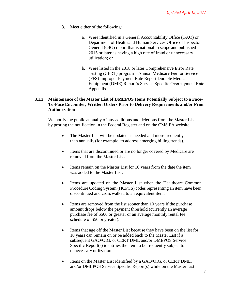- 3. Meet either of the following:
	- a. Were identified in a General Accountability Office (GAO) or Department of Health and Human Services Office of Inspector General (OIG) report that is national in scope and published in 2015 or later as having a high rate of fraud or unnecessary utilization; or
	- b. Were listed in the 2018 or later Comprehensive Error Rate Testing (CERT) program's Annual Medicare Fee for Service (FFS) Improper Payment Rate Report Durable Medical Equipment (DME) Report's Service Specific Overpayment Rate Appendix.

## <span id="page-6-0"></span>**3.1.2 Maintenance of the Master List of DMEPOS Items Potentially Subject to a Face-To-Face Encounter, Written Orders Prior to Delivery Requirements and/or Prior Authorization**

We notify the public annually of any additions and deletions from the Master List by posting the notification in the Federal Register and on the CMS PA website.

- The Master List will be updated as needed and more frequently than annually (for example, to address emerging billing trends).
- Items that are discontinued or are no longer covered by Medicare are removed from the Master List.
- Items remain on the Master List for 10 years from the date the item was added to the Master List.
- Items are updated on the Master List when the Healthcare Common Procedure Coding System (HCPCS) codes representing an item have been discontinued and cross walked to an equivalent item.
- Items are removed from the list sooner than 10 years if the purchase amount drops below the payment threshold (currently an average purchase fee of \$500 or greater or an average monthly rental fee schedule of \$50 or greater).
- Items that age off the Master List because they have been on the list for 10 years can remain on or be added back to the Master List if a subsequent GAO/OIG, or CERT DME and/or DMEPOS Service Specific Report(s) identifies the item to be frequently subject to unnecessary utilization.
- Items on the Master List identified by a GAO/OIG, or CERT DME, and/or DMEPOS Service Specific Report(s) while on the Master List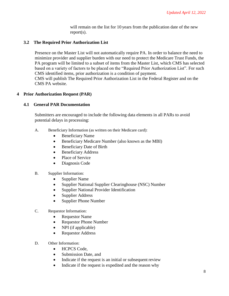will remain on the list for 10 years from the publication date of the new report(s).

## <span id="page-7-0"></span>**3.2 The Required Prior Authorization List**

Presence on the Master List will not automatically require PA. In order to balance the need to minimize provider and supplier burden with our need to protect the Medicare Trust Funds, the PA program will be limited to a subset of items from the Master List, which CMS has selected based on a variety of factors to be placed on the "Required Prior Authorization List". For such CMS identified items, prior authorization is a condition of payment. CMS will publish The Required Prior Authorization List in the Federal Register and on the CMS PA website.

## <span id="page-7-1"></span>**4 Prior Authorization Request (PAR)**

## <span id="page-7-2"></span>**4.1 General PAR Documentation**

Submitters are encouraged to include the following data elements in all PARs to avoid potential delays in processing:

- A. Beneficiary Information (as written on their Medicare card):
	- Beneficiary Name
	- Beneficiary Medicare Number (also known as the MBI)
	- Beneficiary Date of Birth
	- Beneficiary Address
	- Place of Service
	- Diagnosis Code

## B. Supplier Information:

- Supplier Name
- Supplier National Supplier Clearinghouse (NSC) Number
- Supplier National Provider Identification
- Supplier Address
- Supplier Phone Number
- C. Requestor Information:
	- Requestor Name
	- Requestor Phone Number
	- NPI (if applicable)
	- Requestor Address
- D. Other Information:
	- HCPCS Code,
	- Submission Date, and
	- Indicate if the request is an initial or subsequent review
	- Indicate if the request is expedited and the reason why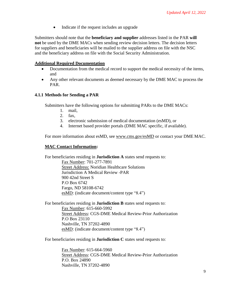• Indicate if the request includes an upgrade

Submitters should note that the **beneficiary and supplier** addresses listed in the PAR **will not** be used by the DME MACs when sending review decision letters. The decision letters for suppliers and beneficiaries will be mailed to the supplier address on file with the NSC and the beneficiary address on file with the Social Security Administration.

## **Additional Required Documentation**

- Documentation from the medical record to support the medical necessity of the items, and
- Any other relevant documents as deemed necessary by the DME MAC to process the PAR.

## <span id="page-8-0"></span>**4.1.1 Methods for Sending a PAR**

Submitters have the following options for submitting PARs to the DME MACs:

- 1. mail,
- 2. fax,
- 3. electronic submission of medical documentation (esMD), or
- 4. Internet based provider portals (DME MAC specific, if available).

For more information about esMD, see [www.cms.gov/esMD](http://www.cms.gov/esMD) or contact your DME MAC.

## **MAC Contact Information:**

For beneficiaries residing in **Jurisdiction A** states send requests to:

Fax Number: 701-277-7891 Street Address: Noridian Healthcare Solutions Jurisdiction A Medical Review -PAR 900 42nd Street S P.O Box 6742 Fargo, ND 58108-6742 esMD: (indicate document/content type "8.4")

For beneficiaries residing in **Jurisdiction B** states send requests to: Fax Number: 615-660-5992 Street Address: CGS-DME Medical Review-Prior Authorization P.O Box 23110 Nashville, TN 37202-4890 esMD: (indicate document/content type "8.4")

For beneficiaries residing in **Jurisdiction C** states send requests to:

Fax Number: 615-664-5960 Street Address: CGS-DME Medical Review-Prior Authorization P.O. Box 24890 Nashville, TN 37202-4890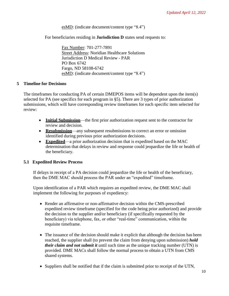#### esMD: (indicate document/content type "8.4")

For beneficiaries residing in **Jurisdiction D** states send requests to:

Fax Number: 701-277-7891 Street Address: Noridian Healthcare Solutions Jurisdiction D Medical Review - PAR PO Box 6742 Fargo, ND 58108-6742 esMD: (indicate document/content type "8.4")

#### <span id="page-9-0"></span>**5 Timeline for Decisions**

The timeframes for conducting PA of certain DMEPOS items will be dependent upon the item(s) selected for PA (see specifics for each program in §5). There are 3 types of prior authorization submissions, which will have corresponding review timeframes for each specific item selected for review:

- **Initial Submission**—the first prior authorization request sent to the contractor for review and decision.
- **Resubmission**—any subsequent resubmissions to correct an error or omission identified during previous prior authorization decisions.
- **Expedited**—a prior authorization decision that is expedited based on the MAC determination that delays in review and response could jeopardize the life or health of the beneficiary.

## <span id="page-9-1"></span>**5.1 Expedited Review Process**

If delays in receipt of a PA decision could jeopardize the life or health of the beneficiary, then the DME MAC should process the PAR under an "expedited" timeframe.

Upon identification of a PAR which requires an expedited review, the DME MAC shall implement the following for purposes of expediency:

- Render an affirmative or non-affirmative decision within the CMS-prescribed expedited review timeframe (specified for the code being prior authorized) and provide the decision to the supplier and/or beneficiary (if specifically requested by the beneficiary) via telephone, fax, or other "real-time" communication, within the requisite timeframe.
- The issuance of the decision should make it explicit that although the decision has been reached, the supplier shall (to prevent the claim from denying upon submission) *hold their claim and not submit it* until such time as the unique tracking number (UTN) is provided. DME MACs shall follow the normal process to obtain a UTN from CMS shared systems.
- Suppliers shall be notified that if the claim is submitted prior to receipt of the UTN,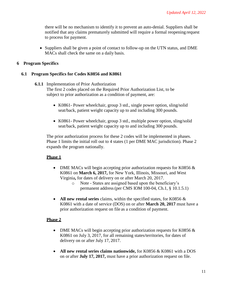there will be no mechanism to identify it to prevent an auto-denial. Suppliers shall be notified that any claims prematurely submitted will require a formal reopening request to process for payment.

• Suppliers shall be given a point of contact to follow-up on the UTN status, and DME MACs shall check the same on a daily basis.

## <span id="page-10-0"></span>**6 Program Specifics**

## <span id="page-10-2"></span><span id="page-10-1"></span>**6.1 Program Specifics for Codes K0856 and K0861**

- **6.1.1** Implementation of Prior Authorization The first 2 codes placed on the Required Prior Authorization List, to be subject to prior authorization as a condition of payment, are:
	- K0861- Power wheelchair, group 3 std., single power option, sling/solid seat/back, patient weight capacity up to and including 300 pounds.
	- K0861- Power wheelchair, group 3 std., multiple power option, sling/solid seat/back, patient weight capacity up to and including 300 pounds.

The prior authorization process for these 2 codes will be implemented in phases. Phase 1 limits the initial roll out to 4 states (1 per DME MAC jurisdiction). Phase 2 expands the program nationally.

## **Phase 1**

- DME MACs will begin accepting prior authorization requests for K0856  $\&$ K0861 on **March 6, 2017,** for New York, Illinois, Missouri, and West Virginia**,** for dates of delivery on or after March 20, 2017.
	- o Note States are assigned based upon the beneficiary's permanent address(per CMS IOM 100-04, Ch.1, § 10.1.5.1)
- **All new rental series** claims, within the specified states, for K0856  $\&$ K0861 with a date of service (DOS) on or after **March 20, 2017** must have a prior authorization request on file as a condition of payment.

## **Phase 2**

- DME MACs will begin accepting prior authorization requests for K0856 & K0861 on July 3, 2017, for all remaining states/territories, for dates of delivery on or after July 17, 2017.
- **All new rental series claims nationwide,** for K0856 & K0861 with a DOS on or after **July 17, 2017,** must have a prior authorization request on file.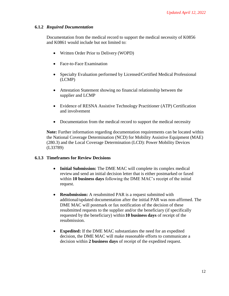## <span id="page-11-0"></span>**6.1.2** *Required Documentation*

Documentation from the medical record to support the medical necessity of K0856 and K0861 would include but not limited to:

- Written Order Prior to Delivery (WOPD)
- Face-to-Face Examination
- Specialty Evaluation performed by Licensed/Certified Medical Professional (LCMP)
- Attestation Statement showing no financial relationship between the supplier and LCMP
- Evidence of RESNA Assistive Technology Practitioner (ATP) Certification and involvement
- Documentation from the medical record to support the medical necessity

**Note:** Further information regarding documentation requirements can be located within the National Coverage Determination (NCD) for Mobility Assistive Equipment (MAE) (280.3) and the Local Coverage Determination (LCD): Power Mobility Devices (L33789)

## <span id="page-11-1"></span>**6.1.3 Timeframes for Review Decisions**

- **Initial Submission:** The DME MAC will complete its complex medical review and send an initial decision letter that is either postmarked or faxed within **10 business days** following the DME MAC's receipt of the initial request.
- **Resubmission:** A resubmitted PAR is a request submitted with additional/updated documentation after the initial PAR was non-affirmed. The DME MAC will postmark or fax notification of the decision of these resubmitted requests to the supplier and/or the beneficiary (if specifically requested by the beneficiary) within **10 business days** of receipt of the resubmission.
- **Expedited:** If the DME MAC substantiates the need for an expedited decision, the DME MAC will make reasonable efforts to communicate a decision within **2 business days** of receipt of the expedited request.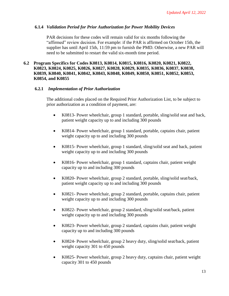#### <span id="page-12-0"></span>**6.1.4** *Validation Period for Prior Authorization for Power Mobility Devices*

PAR decisions for these codes will remain valid for six months following the "affirmed" review decision. For example: if the PAR is affirmed on October 15th, the supplier has until April 15th, 11:59 pm to furnish the PMD. Otherwise, a new PAR will need to be submitted to restart the valid six-month time period.

## **6.2 Program Specifics for Codes K0813, K0814, K0815, K0816, K0820, K0821, K0822, K0823, K0824, K0825, K0826, K0827, K0828, K0829, K0835, K0836, K0837, K0838, K0839, K0840, K0841, K0842, K0843, K0848, K0849, K0850, K0851, K0852, K0853, K0854, and K0855**

#### **6.2.1** *Implementation of Prior Authorization*

The additional codes placed on the Required Prior Authorization List, to be subject to prior authorization as a condition of payment, are:

- K0813- Power wheelchair, group 1 standard, portable, sling/solid seat and back, patient weight capacity up to and including 300 pounds
- K0814- Power wheelchair, group 1 standard, portable, captains chair, patient weight capacity up to and including 300 pounds
- K0815- Power wheelchair, group 1 standard, sling/solid seat and back, patient weight capacity up to and including 300 pounds
- K0816- Power wheelchair, group 1 standard, captains chair, patient weight capacity up to and including 300 pounds
- K0820- Power wheelchair, group 2 standard, portable, sling/solid seat/back, patient weight capacity up to and including 300 pounds
- K0821- Power wheelchair, group 2 standard, portable, captains chair, patient weight capacity up to and including 300 pounds
- K0822- Power wheelchair, group 2 standard, sling/solid seat/back, patient weight capacity up to and including 300 pounds
- K0823- Power wheelchair, group 2 standard, captains chair, patient weight capacity up to and including 300 pounds
- K0824- Power wheelchair, group 2 heavy duty, sling/solid seat/back, patient weight capacity 301 to 450 pounds
- K0825- Power wheelchair, group 2 heavy duty, captains chair, patient weight capacity 301 to 450 pounds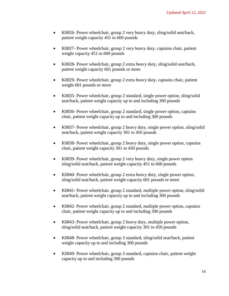- K0826- Power wheelchair, group 2 very heavy duty, sling/solid seat/back, patient weight capacity 451 to 600 pounds
- K0827- Power wheelchair, group 2 very heavy duty, captains chair, patient weight capacity 451 to 600 pounds
- K0828- Power wheelchair, group 2 extra heavy duty, sling/solid seat/back, patient weight capacity 601 pounds or more
- K0829- Power wheelchair, group 2 extra heavy duty, captains chair, patient weight 601 pounds or more
- K0835- Power wheelchair, group 2 standard, single power option, sling/solid seat/back, patient weight capacity up to and including 300 pounds
- K0836- Power wheelchair, group 2 standard, single power option, captains chair, patient weight capacity up to and including 300 pounds
- K0837- Power wheelchair, group 2 heavy duty, single power option, sling/solid seat/back, patient weight capacity 301 to 450 pounds
- K0838- Power wheelchair, group 2 heavy duty, single power option, captains chair, patient weight capacity 301 to 450 pounds
- K0839- Power wheelchair, group 2 very heavy duty, single power option sling/solid seat/back, patient weight capacity 451 to 600 pounds
- K0840- Power wheelchair, group 2 extra heavy duty, single power option, sling/solid seat/back, patient weight capacity 601 pounds or more
- K0841- Power wheelchair, group 2 standard, multiple power option, sling/solid seat/back, patient weight capacity up to and including 300 pounds
- K0842- Power wheelchair, group 2 standard, multiple power option, captains chair, patient weight capacity up to and including 300 pounds
- K0843- Power wheelchair, group 2 heavy duty, multiple power option, sling/solid seat/back, patient weight capacity 301 to 450 pounds
- K0848- Power wheelchair, group 3 standard, sling/solid seat/back, patient weight capacity up to and including 300 pounds
- K0849- Power wheelchair, group 3 standard, captains chair, patient weight capacity up to and including 300 pounds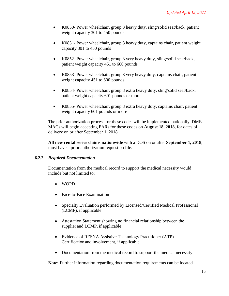- K0850- Power wheelchair, group 3 heavy duty, sling/solid seat/back, patient weight capacity 301 to 450 pounds
- K0851- Power wheelchair, group 3 heavy duty, captains chair, patient weight capacity 301 to 450 pounds
- K0852- Power wheelchair, group 3 very heavy duty, sling/solid seat/back, patient weight capacity 451 to 600 pounds
- K0853- Power wheelchair, group 3 very heavy duty, captains chair, patient weight capacity 451 to 600 pounds
- K0854- Power wheelchair, group 3 extra heavy duty, sling/solid seat/back, patient weight capacity 601 pounds or more
- K0855- Power wheelchair, group 3 extra heavy duty, captains chair, patient weight capacity 601 pounds or more

The prior authorization process for these codes will be implemented nationally. DME MACs will begin accepting PARs for these codes on **August 18, 2018**, for dates of delivery on or after September 1, 2018.

**All new rental series claims nationwide** with a DOS on or after **September 1, 2018**, must have a prior authorization request on file.

## <span id="page-14-0"></span>**6.2.2** *Required Documentation*

Documentation from the medical record to support the medical necessity would include but not limited to:

- WOPD
- Face-to-Face Examination
- Specialty Evaluation performed by Licensed/Certified Medical Professional (LCMP), if applicable
- Attestation Statement showing no financial relationship between the supplier and LCMP, if applicable
- Evidence of RESNA Assistive Technology Practitioner (ATP) Certification and involvement, if applicable
- Documentation from the medical record to support the medical necessity

**Note:** Further information regarding documentation requirements can be located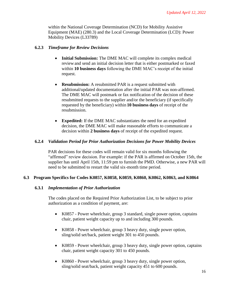within the National Coverage Determination (NCD) for Mobility Assistive Equipment (MAE) (280.3) and the Local Coverage Determination (LCD): Power Mobility Devices (L33789)

## <span id="page-15-0"></span>**6.2.3** *Timeframe for Review Decisions*

- **Initial Submission:** The DME MAC will complete its complex medical review and send an initial decision letter that is either postmarked or faxed within **10 business days** following the DME MAC's receipt of the initial request.
- **Resubmission:** A resubmitted PAR is a request submitted with additional/updated documentation after the initial PAR was non-affirmed. The DME MAC will postmark or fax notification of the decision of these resubmitted requests to the supplier and/or the beneficiary (if specifically requested by the beneficiary) within **10 business days** of receipt of the resubmission.
- **Expedited:** If the DME MAC substantiates the need for an expedited decision, the DME MAC will make reasonable efforts to communicate a decision within **2 business days** of receipt of the expedited request.

## <span id="page-15-1"></span>**6.2.4** *Validation Period for Prior Authorization Decisions for Power Mobility Devices*

PAR decisions for these codes will remain valid for six months following the "affirmed" review decision. For example: if the PAR is affirmed on October 15th, the supplier has until April 15th, 11:59 pm to furnish the PMD. Otherwise, a new PAR will need to be submitted to restart the valid six-month time period.

## <span id="page-15-3"></span><span id="page-15-2"></span>**6.3 Program Specifics for Codes K0857, K0858, K0859, K0860, K0862, K0863, and K0864**

## **6.3.1** *Implementation of Prior Authorization*

The codes placed on the Required Prior Authorization List, to be subject to prior authorization as a condition of payment, are:

- K0857 Power wheelchair, group 3 standard, single power option, captains chair, patient weight capacity up to and including 300 pounds.
- K0858 Power wheelchair, group 3 heavy duty, single power option, sling/solid set/back, patient weight 301 to 450 pounds.
- K0859 Power wheelchair, group 3 heavy duty, single power option, captains chair, patient weight capacity 301 to 450 pounds.
- K0860 Power wheelchair, group 3 heavy duty, single power option, sling/solid seat/back, patient weight capacity 451 to 600 pounds.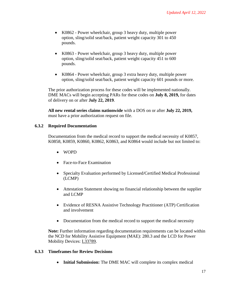- K0862 Power wheelchair, group 3 heavy duty, multiple power option, sling/solid seat/back, patient weight capacity 301 to 450 pounds.
- K0863 Power wheelchair, group 3 heavy duty, multiple power option, sling/solid seat/back, patient weight capacity 451 to 600 pounds.
- K0864 Power wheelchair, group 3 extra heavy duty, multiple power option, sling/solid seat/back, patient weight capacity 601 pounds or more.

The prior authorization process for these codes will be implemented nationally. DME MACs will begin accepting PARs for these codes on **July 8, 2019,** for dates of delivery on or after **July 22, 2019**.

**All new rental series claims nationwide** with a DOS on or after **July 22, 2019,**  must have a prior authorization request on file.

## <span id="page-16-0"></span>**6.3.2 Required Documentation**

Documentation from the medical record to support the medical necessity of K0857, K0858, K0859, K0860, K0862, K0863, and K0864 would include but not limited to:

- WOPD
- Face-to-Face Examination
- Specialty Evaluation performed by Licensed/Certified Medical Professional (LCMP)
- Attestation Statement showing no financial relationship between the supplier and LCMP
- Evidence of RESNA Assistive Technology Practitioner (ATP) Certification and involvement
- Documentation from the medical record to support the medical necessity

**Note:** Further information regarding documentation requirements can be located within the NCD for Mobility Assistive Equipment (MAE): 280.3 and the LCD for Power Mobility Devices: [L33789.](https://www.cms.gov/medicare-coverage-database/details/lcd-details.aspx?LCDId=33789&ver=23&Date&DocID=L33789&SearchType=Advanced&bc=KAAAABAAAAAA)

## <span id="page-16-1"></span>**6.3.3 Timeframes for Review Decisions**

• **Initial Submission:** The DME MAC will complete its complex medical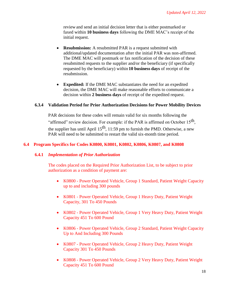review and send an initial decision letter that is either postmarked or faxed within **10 business days** following the DME MAC's receipt of the initial request.

- **Resubmission:** A resubmitted PAR is a request submitted with additional/updated documentation after the initial PAR was non-affirmed. The DME MAC will postmark or fax notification of the decision of these resubmitted requests to the supplier and/or the beneficiary (if specifically requested by the beneficiary) within **10 business days** of receipt of the resubmission.
- **Expedited:** If the DME MAC substantiates the need for an expedited decision, the DME MAC will make reasonable efforts to communicate a decision within **2 business days** of receipt of the expedited request.

## <span id="page-17-0"></span>**6.3.4 Validation Period for Prior Authorization Decisions for Power Mobility Devices**

PAR decisions for these codes will remain valid for six months following the "affirmed" review decision. For example: if the PAR is affirmed on October 15<sup>th</sup>, the supplier has until April  $15<sup>th</sup>$ , 11:59 pm to furnish the PMD. Otherwise, a new PAR will need to be submitted to restart the valid six-month time period.

## <span id="page-17-2"></span><span id="page-17-1"></span>**6.4 Program Specifics for Codes K0800, K0801, K0802, K0806, K0807, and K0808**

## **6.4.1** *Implementation of Prior Authorization*

The codes placed on the Required Prior Authorization List, to be subject to prior authorization as a condition of payment are:

- K0800 Power Operated Vehicle, Group 1 Standard, Patient Weight Capacity up to and including 300 pounds
- K0801 Power Operated Vehicle, Group 1 Heavy Duty, Patient Weight Capacity, 301 To 450 Pounds
- K0802 Power Operated Vehicle, Group 1 Very Heavy Duty, Patient Weight Capacity 451 To 600 Pound
- K0806 Power Operated Vehicle, Group 2 Standard, Patient Weight Capacity Up to And Including 300 Pounds
- K0807 Power Operated Vehicle, Group 2 Heavy Duty, Patient Weight Capacity 301 To 450 Pounds
- K0808 Power Operated Vehicle, Group 2 Very Heavy Duty, Patient Weight Capacity 451 To 600 Pound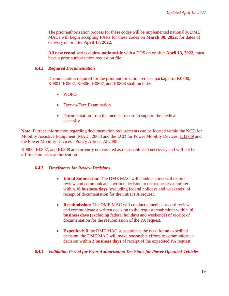The prior authorization process for these codes will be implemented nationally. DME MACs will begin accepting PARs for these codes on **March 30, 2022,** for dates of delivery on or after **April 13, 2022**.

**All new rental series claims nationwide** with a DOS on or after **April 13, 2022,** must have a prior authorization request on file.

## <span id="page-18-0"></span>**6.4.2** *Required Documentation*

Documentation required for the prior authorization request package for K0800, K0801, K0802, K0806, K0807, and K0808 shall include:

- WOPD
- Face-to-Face Examination
- Documentation from the medical record to support the medical necessity

**Note:** Further information regarding documentation requirements can be located within the NCD for Mobility Assistive Equipment (MAE): 280.3 and the LCD for Power Mobility Devices: L33789 and the Power Mobility Devices - Policy Article: A52498.

K0806, K0807, and K0808 are currently not covered as reasonable and necessary and will not be affirmed on prior authorization

## <span id="page-18-1"></span>**6.4.3** *Timeframes for Review Decisions*

- **Initial Submission:** The DME MAC will conduct a medical record review and communicate a written decision to the requester/submitter within **10 business days** (excluding federal holidays and weekends) of receipt of documentation for the initial PA request.
- **Resubmission:** The DME MAC will conduct a medical record review and communicate a written decision to the requester/submitter within **10 business days** (excluding federal holidays and weekends) of receipt of documentation for the resubmission of the PA request.
- **Expedited:** If the DME MAC substantiates the need for an expedited decision, the DME MAC will make reasonable efforts to communicate a decision within **2 business days** of receipt of the expedited PA request.

## <span id="page-18-2"></span>**6.4.4** *Validation Period for Prior Authorization Decisions for Power Operated Vehicles*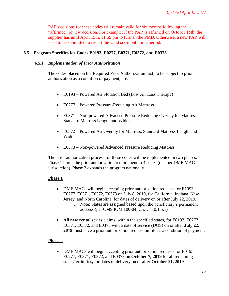PAR decisions for these codes will remain valid for six months following the "affirmed" review decision. For example: if the PAR is affirmed on October 15th, the supplier has until April 15th, 11:59 pm to furnish the PMD. Otherwise, a new PAR will need to be submitted to restart the valid six-month time period.

## <span id="page-19-1"></span><span id="page-19-0"></span>**6.5 Program Specifics for Codes E0193, E0277, E0371, E0372, and E0373**

#### **6.5.1** *Implementation of Prior Authorization*

The codes placed on the Required Prior Authorization List, to be subject to prior authorization as a condition of payment, are:

- E0193 Powered Air Flotation Bed (Low Air Loss Therapy)
- E0277 Powered Pressure-Reducing Air Mattress
- E0371 Non-powered Advanced Pressure Reducing Overlay for Mattress, Standard Mattress Length and Width
- E0372 Powered Air Overlay for Mattress, Standard Mattress Length and Width
- E0373 Non-powered Advanced Pressure Reducing Mattress

The prior authorization process for these codes will be implemented in two phases. Phase 1 limits the prior authorization requirement to 4 states (one per DME MAC jurisdiction). Phase 2 expands the program nationally*.*

## **Phase 1**

- DME MACs will begin accepting prior authorization requests for E1093, E0277, E0371, E0372, E0373 on July 8, 2019, for California, Indiana, New Jersey, and North Carolina, for dates of delivery on or after July 22, 2019.
	- o Note: States are assigned based upon the beneficiary's permanent address (per CMS IOM 100-04, Ch.1, §10.1.5.1)
- **All new rental series** claims, within the specified states, for E0193, E0277, E0371, E0372, and E0373 with a date of service (DOS) on or after **July 22, 2019** must have a prior authorization request on file as a condition of payment.

## **Phase 2**

• DME MACs will begin accepting prior authorization requests for E0193, E0277, E0371, E0372, and E0373 on **October 7, 2019** for all remaining states/territories**,** for dates of delivery on or after **October 21, 2019***.*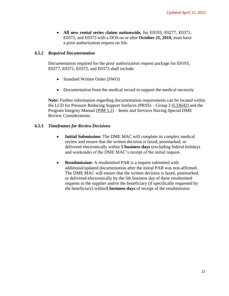• **All new rental series claims nationwide,** for E0193, E0277, E0371, E0372, and E0373 with a DOS on or after **October 21, 2019,** must have a prior authorization request on file.

## <span id="page-20-0"></span>**6.5.2** *Required Documentation*

Documentation required for the prior authorization request package for E0193, E0277, E0371, E0372, and E0373 shall include:

- Standard Written Order (SWO)
- Documentation from the medical record to support the medical necessity

**Note:** Further information regarding documentation requirements can be located within the LCD for Pressure Reducing Support Surfaces (PRSS) – Group 2 [\(L33642\)](https://www.cms.gov/medicare-coverage-database/details/lcd-details.aspx?LCDId=33642&ver=18&CoverageSelection=Both&ArticleType=All&PolicyType=Final&s=All&KeyWord=support%2Bsurface&KeyWordLookUp=Title&KeyWordSearchType=And&bc=gAAAACAAAAAA) and the Program Integrity Manual [\(PIM 5.2\)](https://www.cms.gov/Regulations-and-Guidance/Guidance/Manuals/Downloads/pim83c05.pdf) – Items and Services Having Special DME Review Considerations.

## <span id="page-20-1"></span>**6.5.3** *Timeframes for Review Decisions*

- **Initial Submission:** The DME MAC will complete its complex medical review and ensure that the written decision is faxed, postmarked, or delivered electronically within **5 business days** (excluding federal holidays and weekends) of the DME MAC's receipt of the initial request.
- **Resubmission:** A resubmitted PAR is a request submitted with additional/updated documentation after the initial PAR was non-affirmed. The DME MAC will ensure that the written decision is faxed, postmarked, or delivered electronically by the 5th business day of these resubmitted requests to the supplier and/or the beneficiary (if specifically requested by the beneficiary) within**5 business days** of receipt of the resubmission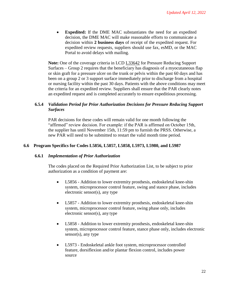• **Expedited:** If the DME MAC substantiates the need for an expedited decision, the DME MAC will make reasonable efforts to communicate a decision within **2 business days** of receipt of the expedited request. For expedited review requests, suppliers should use fax, esMD, or the MAC Portal to avoid delays with mailing.

**Note:** One of the coverage criteria in LCD [L33642](https://www.cms.gov/medicare-coverage-database/details/lcd-details.aspx?LCDId=33642&ver=18&CoverageSelection=Both&ArticleType=All&PolicyType=Final&s=All&KeyWord=support%2Bsurface&KeyWordLookUp=Title&KeyWordSearchType=And&bc=gAAAACAAAAAA) for Pressure Reducing Support Surfaces – Group 2 requires that the beneficiary has diagnosis of a myocutaneous flap or skin graft for a pressure ulcer on the trunk or pelvis within the past 60 days and has been on a group 2 or 3 support surface immediately prior to discharge from a hospital or nursing facility within the past 30 days. Patients with the above conditions may meet the criteria for an expedited review. Suppliers shall ensure that the PAR clearly notes an expedited request and is completed accurately to ensure expeditious processing.

## <span id="page-21-0"></span>**6.5.4** *Validation Period for Prior Authorization Decisions for Pressure Reducing Support Surfaces*

PAR decisions for these codes will remain valid for one month following the "affirmed" review decision. For example: if the PAR is affirmed on October 15th, the supplier has until November 15th, 11:59 pm to furnish the PRSS. Otherwise, a new PAR will need to be submitted to restart the valid month time period.

## <span id="page-21-2"></span><span id="page-21-1"></span>**6.6 Program Specifics for Codes L5856, L5857, L5858, L5973, L5980, and L5987**

## **6.6.1** *Implementation of Prior Authorization*

The codes placed on the Required Prior Authorization List, to be subject to prior authorization as a condition of payment are:

- L5856 Addition to lower extremity prosthesis, endoskeletal knee-shin system, microprocessor control feature, swing and stance phase, includes electronic sensor(s), any type
- L5857 Addition to lower extremity prosthesis, endoskeletal knee-shin system, microprocessor control feature, swing phase only, includes electronic sensor(s), any type
- L5858 Addition to lower extremity prosthesis, endoskeletal knee-shin system, microprocessor control feature, stance phase only, includes electronic sensor(s), any type
- L5973 Endoskeletal ankle foot system, microprocessor controlled feature, dorsiflexion and/or plantar flexion control, includes power source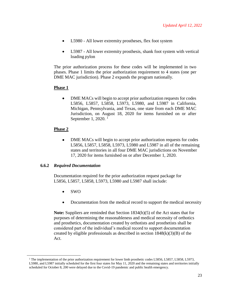- L5980 All lower extremity prostheses, flex foot system
- L5987 All lower extremity prosthesis, shank foot system with vertical loading pylon

The prior authorization process for these codes will be implemented in two phases. Phase 1 limits the prior authorization requirement to 4 states (one per DME MAC jurisdiction). Phase 2 expands the program nationally.

## **Phase 1**

• DME MACs will begin to accept prior authorization requests for codes L5856, L5857, L5858, L5973, L5980, and L5987 in California, Michigan, Pennsylvania, and Texas, one state from each DME MAC Jurisdiction, on August 18, 2020 for items furnished on or after September 1, 2020.<sup>1</sup>

## **Phase 2**

• DME MACs will begin to accept prior authorization requests for codes L5856, L5857, L5858, L5973, L5980 and L5987 in all of the remaining states and territories in all four DME MAC jurisdictions on November 17, 2020 for items furnished on or after December 1, 2020.

## <span id="page-22-0"></span>**6.6.2** *Required Documentation*

Documentation required for the prior authorization request package for L5856, L5857, L5858, L5973, L5980 and L5987 shall include:

• SWO

 $\overline{\phantom{a}}$ 

• Documentation from the medical record to support the medical necessity

**Note:** Suppliers are reminded that Section 1834(h)(5) of the Act states that for purposes of determining the reasonableness and medical necessity of orthotics and prosthetics, documentation created by orthotists and prosthetists shall be considered part of the individual's medical record to support documentation created by eligible professionals as described in section  $1848(k)(3)(B)$  of the Act.

<sup>&</sup>lt;sup>1</sup> The implementation of the prior authorization requirement for lower limb prosthetic codes L5856, L5857, L5858, L5973, L5980, and L5987 initially scheduled for the first four states for May 11, 2020 and the remaining states and territories initially scheduled for October 8, 200 were delayed due to the Covid-19 pandemic and public health emergency.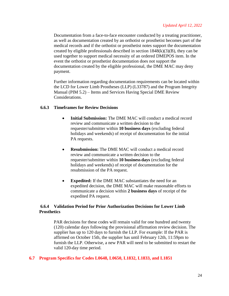Documentation from a face-to-face encounter conducted by a treating practitioner, as well as documentation created by an orthotist or prosthetist becomes part of the medical records and if the orthotist or prosthetist notes support the documentation created by eligible professionals described in section  $1848(k)(3)(B)$ , they can be used together to support medical necessity of an ordered DMEPOS item. In the event the orthotist or prosthetist documentation does not support the documentation created by the eligible professional, the DME MAC may deny payment.

Further information regarding documentation requirements can be located within the LCD for Lower Limb Prostheses (LLP) (L33787) and the Program Integrity Manual (PIM 5.2) – Items and Services Having Special DME Review Considerations.

#### <span id="page-23-0"></span>**6.6.3 Timeframes for Review Decisions**

- **Initial Submission:** The DME MAC will conduct a medical record review and communicate a written decision to the requester/submitter within **10 business days** (excluding federal holidays and weekends) of receipt of documentation for the initial PA requests.
- **Resubmission:** The DME MAC will conduct a medical record review and communicate a written decision to the requester/submitter within **10 business days** (excluding federal holidays and weekends) of receipt of documentation for the resubmission of the PA request.
- **Expedited:** If the DME MAC substantiates the need for an expedited decision, the DME MAC will make reasonable efforts to communicate a decision within **2 business days** of receipt of the expedited PA request.

## <span id="page-23-1"></span>**6.6.4 Validation Period for Prior Authorization Decisions for Lower Limb Prosthetics**

PAR decisions for these codes will remain valid for one hundred and twenty (120) calendar days following the provisional affirmation review decision. The supplier has up to 120 days to furnish the LLP. For example: If the PAR is affirmed on October 15th, the supplier has until February 12th, 11:59pm to furnish the LLP. Otherwise, a new PAR will need to be submitted to restart the valid 120-day time period.

## <span id="page-23-2"></span>**6.7 Program Specifics for Codes L0648, L0650, L1832, L1833, and L1851**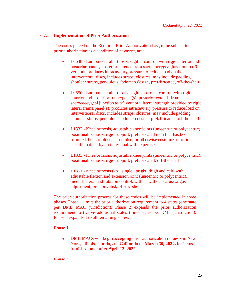## <span id="page-24-0"></span>**6.7.1 Implementation of Prior Authorization**

The codes placed on the Required Prior Authorization List, to be subject to prior authorization as a condition of payment, are:

- L0648 Lumbar-sacral orthosis, sagittal control, with rigid anterior and posterior panels, posterior extends from sacrococcygeal junction to t-9 vertebra, produces intracavitary pressure to reduce load on the intervertebral discs, includes straps, closures, may include padding, shoulder straps, pendulous abdomen design, prefabricated, off-the-shelf
- L0650 Lumbar-sacral orthosis, sagittal-coronal control, with rigid anterior and posterior frame/panel(s), posterior extends from sacrococcygeal junction to t-9 vertebra, lateral strength provided by rigid lateral frame/panel(s), produces intracavitary pressure to reduce load on intervertebral discs, includes straps, closures, may include padding, shoulder straps, pendulous abdomen design, prefabricated, off-the-shelf
- L1832 Knee orthosis, adjustable knee joints (unicentric or polycentric), positional orthosis, rigid support, prefabricated item that has been trimmed, bent, molded, assembled, or otherwise customized to fit a specific patient by an individual with expertise
- L1833 Knee orthosis, adjustable knee joints (unicentric or polycentric), positional orthosis, rigid support, prefabricated, off-the shelf
- L1851 Knee orthosis (ko), single upright, thigh and calf, with adjustable flexion and extension joint (unicentric or polycentric), medial-lateral and rotation control, with or without varus/valgus adjustment, prefabricated, off-the-shelf

The prior authorization process for these codes will be implemented in three phases. Phase 1 limits the prior authorization requirement to 4 states (one state per DME MAC jurisdiction). Phase 2 expands the prior authorization requirement to twelve additional states (three states per DME jurisdiction). Phase 3 expands it to all remaining states.

## **Phase 1**

• DME MACs will begin accepting prior authorization requests in New York, Illinois, Florida, and California on **March 30, 2022,** for items furnished on or after **April 13, 2022.**

## **Phase 2**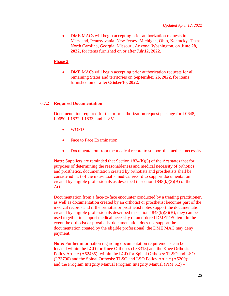• DME MACs will begin accepting prior authorization requests in Maryland, Pennsylvania, New Jersey, Michigan, Ohio, Kentucky, Texas, North Carolina, Georgia, Missouri, Arizona, Washington, on **June 28, 2022,** for items furnished on or after **July 12, 2022.**

#### **Phase 3**

• DME MACs will begin accepting prior authorization requests for all remaining States and territories on **September 26, 2022, f**or items furnished on or after **October 10, 2022.**

#### <span id="page-25-0"></span>**6.7.2 Required Documentation**

Documentation required for the prior authorization request package for L0648, L0650, L1832, L1833, and L1851

- WOPD
- Face to Face Examination
- Documentation from the medical record to support the medical necessity

**Note:** Suppliers are reminded that Section 1834(h)(5) of the Act states that for purposes of determining the reasonableness and medical necessity of orthotics and prosthetics, documentation created by orthotists and prosthetists shall be considered part of the individual's medical record to support documentation created by eligible professionals as described in section  $1848(k)(3)(B)$  of the Act.

Documentation from a face-to-face encounter conducted by a treating practitioner, as well as documentation created by an orthotist or prosthetist becomes part of the medical records and if the orthotist or prosthetist notes support the documentation created by eligible professionals described in section  $1848(k)(3)(B)$ , they can be used together to support medical necessity of an ordered DMEPOS item. In the event the orthotist or prosthetist documentation does not support the documentation created by the eligible professional, the DME MAC may deny payment.

**Note:** Further information regarding documentation requirements can be located within the LCD for Knee Orthoses (L33318) and the Knee Orthosis Policy Article (A52465); within the LCD for Spinal Orthoses: TLSO and LSO (L33790) and the Spinal Orthosis: TLSO and LSO Policy Article (A5200); and the Program Integrity Manual Program Integrity Manual [\(PIM 5.2\)](https://www.cms.gov/Regulations-and-Guidance/Guidance/Manuals/Downloads/pim83c05.pdf) –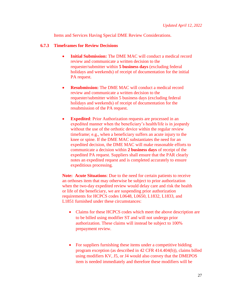Items and Services Having Special DME Review Considerations.

#### <span id="page-26-0"></span>**6.7.3 Timeframes for Review Decisions**

- **Initial Submission:** The DME MAC will conduct a medical record review and communicate a written decision to the requester/submitter within **5 business days** (excluding federal holidays and weekends) of receipt of documentation for the initial PA request.
- **Resubmission:** The DME MAC will conduct a medical record review and communicate a written decision to the requester/submitter within 5 business days (excluding federal holidays and weekends) of receipt of documentation for the resubmission of the PA request.
- **Expedited:** Prior Authorization requests are processed in an expedited manner when the beneficiary's health/life is in jeopardy without the use of the orthotic device within the regular review timeframe; e.g., when a beneficiary suffers an acute injury to the knee or spine. If the DME MAC substantiates the need for an expedited decision, the DME MAC will make reasonable efforts to communicate a decision within **2 business days** of receipt of the expedited PA request. Suppliers shall ensure that the PAR clearly notes an expedited request and is completed accurately to ensure expeditious processing.

**Note: Acute Situations**: Due to the need for certain patients to receive an orthoses item that may otherwise be subject to prior authorization when the two-day expedited review would delay care and risk the health or life of the beneficiary, we are suspending prior authorization requirements for HCPCS codes L0648, L0650, L1832, L1833, and L1851 furnished under these circumstances:

- Claims for these HCPCS codes which meet the above description are to be billed using modifier ST and will not undergo prior authorization. These claims will instead be subject to 100% prepayment review.
- For suppliers furnishing these items under a competitive bidding program exception (as described in 42 CFR 414.404(b)), claims billed using modifiers KV, J5, or J4 would also convey that the DMEPOS item is needed immediately and therefore these modifiers will be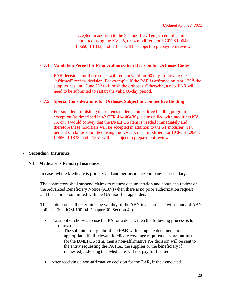accepted in addition to the ST modifier. Ten percent of claims submitted using the KV, J5, or J4 modifiers for HCPCS L0648, L0650, L1833, and L1851 will be subject to prepayment review.

## <span id="page-27-0"></span>**6.7.4 Validation Period for Prior Authorization Decision for Orthoses Codes**

PAR decisions for these codes will remain valid for 60 days following the "affirmed" review decision. For example: if the PAR is affirmed on April  $30<sup>th</sup>$ , the supplier has until June  $28<sup>th</sup>$  to furnish the orthoses. Otherwise, a new PAR will need to be submitted to restart the valid 60-day period.

## <span id="page-27-1"></span>**6.7.5 Special Considerations for Orthoses Subject to Competitive Bidding**

For suppliers furnishing these items under a competitive bidding program exception (as described in 42 CFR 414.404(b)), claims billed with modifiers KV, J5, or J4 would convey that the DMEPOS item is needed immediately and therefore these modifiers will be accepted in addition to the ST modifier. Ten percent of claims submitted using the KV, J5, or J4 modifiers for HCPCS L0648, L0650, L1833, and L1851 will be subject to prepayment review.

## <span id="page-27-2"></span>**7 Secondary Insurance**

## <span id="page-27-3"></span>**7.1 Medicare is Primary Insurance**

In cases where Medicare is primary and another insurance company is secondary:

The contractors shall suspend claims to request documentation and conduct a review of the Advanced Beneficiary Notice (ABN) when there is no prior authorization request and the claim is submitted with the GA modifier appended.

The Contractor shall determine the validity of the ABN in accordance with standard ABN policies. (See IOM 100-04, Chapter 30, Section 40).

- If a supplier chooses to use the PA for a denial, then the following process is to be followed:
	- o The submitter may submit the **PAR** with complete documentation as appropriate. If all relevant Medicare coverage requirements are **not** met for the DMEPOS item, then a non-affirmative PA decision will be sent to the entity requesting the PA (i.e., the supplier or the beneficiary if requested), advising that Medicare will not pay for the item.
- After receiving a non-affirmative decision for the PAR, if the associated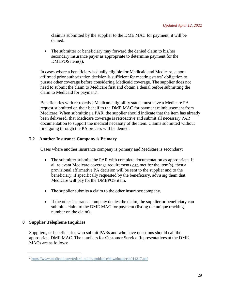**claim** is submitted by the supplier to the DME MAC for payment, it will be denied.

• The submitter or beneficiary may forward the denied claim to his/her secondary insurance payer as appropriate to determine payment for the DMEPOS item(s).

In cases where a beneficiary is dually eligible for Medicaid and Medicare, a nonaffirmed prior authorization decision is sufficient for meeting states' obligation to pursue other coverage before considering Medicaid coverage. The supplier does not need to submit the claim to Medicare first and obtain a denial before submitting the claim to Medicaid for payment<sup>2</sup>.

Beneficiaries with retroactive Medicare eligibility status must have a Medicare PA request submitted on their behalf to the DME MAC for payment reimbursement from Medicare. When submitting a PAR, the supplier should indicate that the item has already been delivered, that Medicare coverage is retroactive and submit all necessary PAR documentation to support the medical necessity of the item. Claims submitted without first going through the PA process will be denied.

## <span id="page-28-0"></span>**7.2 Another Insurance Company is Primary**

Cases where another insurance company is primary and Medicare is secondary:

- The submitter submits the PAR with complete documentation as appropriate. If all relevant Medicare coverage requirements **are** met for the item(s), then a provisional affirmative PA decision will be sent to the supplier and to the beneficiary, if specifically requested by the beneficiary, advising them that Medicare **will** pay forthe DMEPOS item.
- The supplier submits a claim to the other insurance company.
- If the other insurance company denies the claim, the supplier or beneficiary can submit a claim to the DME MAC for payment (listing the unique tracking number on the claim).

## <span id="page-28-1"></span>**8 Supplier Telephone Inquiries**

 $\overline{\phantom{a}}$ 

Suppliers, or beneficiaries who submit PARs and who have questions should call the appropriate DME MAC. The numbers for Customer Service Representatives at the DME MACs are as follows:

<sup>&</sup>lt;sup>2</sup> <https://www.medicaid.gov/federal-policy-guidance/downloads/cib011317.pdf>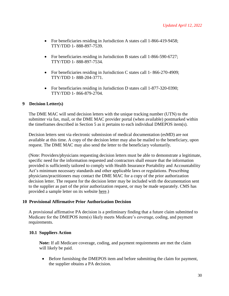- For beneficiaries residing in Jurisdiction A states call 1-866-419-9458; TTY/TDD 1- 888-897-7539.
- For beneficiaries residing in Jurisdiction B states call 1-866-590-6727; TTY/TDD 1- 888-897-7534.
- For beneficiaries residing in Jurisdiction C states call 1-866-270-4909; TTY/TDD 1- 888-204-3771.
- For beneficiaries residing in Jurisdiction D states call 1-877-320-0390; TTY/TDD 1- 866-879-2704.

## <span id="page-29-0"></span>**9 Decision Letter(s)**

The DME MAC will send decision letters with the unique tracking number (UTN) to the submitter via fax, mail, or the DME MAC provider portal (when available) postmarked within the timeframes described in Section 5 as it pertains to each individual DMEPOS item(s).

Decision letters sent via electronic submission of medical documentation (esMD) are not available at this time. A copy of the decision letter may also be mailed to the beneficiary, upon request. The DME MAC may also send the letter to the beneficiary voluntarily.

(Note: Providers/physicians requesting decision letters must be able to demonstrate a legitimate, specific need for the information requested and contractors shall ensure that the information provided is sufficiently tailored to comply with Health Insurance Portability and Accountability Act's minimum necessary standards and other applicable laws or regulations. Prescribing physicians/practitioners may contact the DME MAC for a copy of the prior authorization decision letter. The request for the decision letter may be included with the documentation sent to the supplier as part of the prior authorization request, or may be made separately. CMS has provided a sample letter on its website [here.\)](https://www.cms.gov/Research-Statistics-Data-and-Systems/Monitoring-Programs/Medicare-FFS-Compliance-Programs/DMEPOS/Downloads/DMEPOS_PA_Physician_Sample_Decision_Letter_Request.pdf)

## <span id="page-29-1"></span>**10 Provisional Affirmative Prior Authorization Decision**

A provisional affirmative PA decision is a preliminary finding that a future claim submitted to Medicare for the DMEPOS item(s) likely meets Medicare's coverage, coding, and payment requirements.

## <span id="page-29-2"></span>**10.1 Suppliers Action**

**Note:** If all Medicare coverage, coding, and payment requirements are met the claim will likely be paid.

• Before furnishing the DMEPOS item and before submitting the claim for payment, the supplier obtains a PA decision.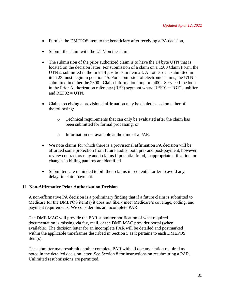- Furnish the DMEPOS item to the beneficiary after receiving a PA decision,
- Submit the claim with the UTN on the claim.
- The submission of the prior authorized claim is to have the 14 byte UTN that is located on the decision letter. For submission of a claim on a 1500 Claim Form, the UTN is submitted in the first 14 positions in item 23. All other data submitted in item 23 must begin in position 15. For submission of electronic claims, the UTN is submitted in either the 2300 - Claim Information loop or 2400 - Service Line loop in the Prior Authorization reference (REF) segment where  $REFO1 = "G1"$  qualifier and  $REF02 = UTN$ .
- Claims receiving a provisional affirmation may be denied based on either of the following:
	- o Technical requirements that can only be evaluated after the claim has been submitted for formal processing; or
	- o Information not available at the time of a PAR.
- We note claims for which there is a provisional affirmation PA decision will be afforded some protection from future audits, both pre- and post-payment; however, review contractors may audit claims if potential fraud, inappropriate utilization, or changes in billing patterns are identified.
- Submitters are reminded to bill their claims in sequential order to avoid any delays in claim payment.

## <span id="page-30-0"></span>**11 Non-Affirmative Prior Authorization Decision**

A non-affirmative PA decision is a preliminary finding that if a future claim is submitted to Medicare for the DMEPOS item(s) it does not likely meet Medicare's coverage, coding, and payment requirements. We consider this an incomplete PAR.

The DME MAC will provide the PAR submitter notification of what required documentation is missing via fax, mail, or the DME MAC provider portal (when available). The decision letter for an incomplete PAR will be detailed and postmarked within the applicable timeframes described in Section 5 as it pertains to each DMEPOS item(s).

The submitter may resubmit another complete PAR with all documentation required as noted in the detailed decision letter. See Section 8 for instructions on resubmitting a PAR. Unlimited resubmissions are permitted.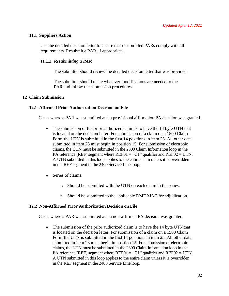## <span id="page-31-0"></span>**11.1 Suppliers Action**

Use the detailed decision letter to ensure that resubmitted PARs comply with all requirements. Resubmit a PAR, if appropriate.

## <span id="page-31-1"></span>**11.1.1** *Resubmitting a PAR*

The submitter should review the detailed decision letter that was provided.

The submitter should make whatever modifications are needed to the PAR and follow the submission procedures.

## <span id="page-31-2"></span>**12 Claim Submission**

## <span id="page-31-3"></span>**12.1 Affirmed Prior Authorization Decision on File**

Cases where a PAR was submitted and a provisional affirmation PA decision was granted.

- The submission of the prior authorized claim is to have the 14 byte UTN that is located on the decision letter. For submission of a claim on a 1500 Claim Form,the UTN is submitted in the first 14 positions in item 23. All other data submitted in item 23 must begin in position 15. For submission of electronic claims, the UTN must be submitted in the 2300 Claim Information loop in the PA reference (REF) segment where  $REF01 = "G1"$  qualifier and  $REF02 = UTN$ . A UTN submitted in this loop applies to the entire claim unless it is overridden in the REF segment in the 2400 Service Line loop.
- Series of claims:
	- o Should be submitted with the UTN on each claim in the series.
	- o Should be submitted to the applicable DME MAC for adjudication.

## <span id="page-31-4"></span>**12.2 Non-Affirmed Prior Authorization Decision on File**

Cases where a PAR was submitted and a non-affirmed PA decision was granted:

• The submission of the prior authorized claim is to have the 14 byte UTN that is located on the decision letter. For submission of a claim on a 1500 Claim Form,the UTN is submitted in the first 14 positions in item 23. All other data submitted in item 23 must begin in position 15. For submission of electronic claims, the UTN must be submitted in the 2300 Claim Information loop in the PA reference (REF) segment where  $REF01 = "G1"$  qualifier and  $REF02 = UTN$ . A UTN submitted in this loop applies to the entire claim unless it is overridden in the REF segment in the 2400 Service Line loop.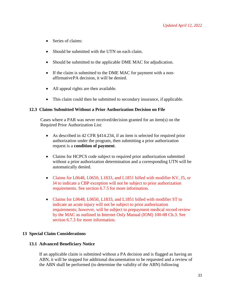- Series of claims:
- Should be submitted with the UTN on each claim.
- Should be submitted to the applicable DME MAC for adjudication.
- If the claim is submitted to the DME MAC for payment with a nonaffirmativePA decision, it will be denied.
- All appeal rights are then available.
- This claim could then be submitted to secondary insurance, if applicable.

#### <span id="page-32-0"></span>**12.3 Claims Submitted Without a Prior Authorization Decision on File**

Cases where a PAR was never received/decision granted for an item(s) on the Required Prior Authorization List:

- As described in 42 CFR §414.234, if an item is selected for required prior authorization under the program, then submitting a prior authorization request is a **condition of payment**.
- Claims for HCPCS code subject to required prior authorization submitted without a prior authorization determination and a corresponding UTN will be automatically denied.
- Claims for L0648, L0650, L1833, and L1851 billed with modifier KV, J5, or J4 to indicate a CBP exception will not be subject to prior authorization requirements. See section 6.7.5 for more information.
- Claims for L0648, L0650, L1833, and L1851 billed with modifier ST to indicate an acute injury will not be subject to prior authorization requirements; however, will be subject to prepayment medical record review by the MAC as outlined in Internet Only Manual (IOM) 100-08 Ch.3. See section 6.7.3 for more information.

## <span id="page-32-1"></span>**13 Special Claim Considerations**

#### <span id="page-32-2"></span>**13.1 Advanced Beneficiary Notice**

If an applicable claim is submitted without a PA decision and is flagged as having an ABN, it will be stopped for additional documentation to be requested and a review of the ABN shall be performed (to determine the validity of the ABN) following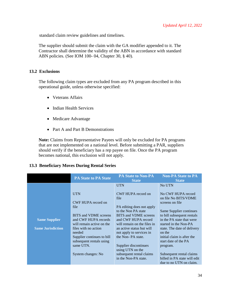standard claim review guidelines and timelines.

The supplier should submit the claim with the GA modifier appended to it. The Contractor shall determine the validity of the ABN in accordance with standard ABN policies. (See IOM 100- 04, Chapter 30, § 40).

## <span id="page-33-0"></span>**13.2 Exclusions**

The following claim types are excluded from any PA program described in this operational guide, unless otherwise specified:

- Veterans Affairs
- Indian Health Services
- Medicare Advantage
- Part A and Part B Demonstrations

**Note:** Claims from Representative Payees will only be excluded for PA programs that are not implemented on a national level. Before submitting a PAR, suppliers should verify if the beneficiary has a rep payee on file. Once the PA program becomes national, this exclusion will not apply.

## <span id="page-33-1"></span>**13.3 Beneficiary Moves During Rental Series**

|                          | <b>PA State to PA State</b>                                 | <b>PA State to Non-PA</b><br><b>State</b>                  | <b>Non-PA State to PA</b><br><b>State</b>                |
|--------------------------|-------------------------------------------------------------|------------------------------------------------------------|----------------------------------------------------------|
|                          |                                                             | <b>UTN</b>                                                 | No UTN                                                   |
|                          | <b>UTN</b>                                                  | CWF HUPA record on                                         | No CWF HUPA record                                       |
|                          | CWF HUPA record on                                          | file                                                       | on file No BITS/VDME<br>screens on file                  |
|                          | file                                                        | PA editing does not apply<br>to the Non PA state           | Same Supplier continues                                  |
| <b>Same Supplier</b>     | <b>BITS</b> and <b>VDME</b> screens<br>and CWF HUPA records | <b>BITS</b> and <b>VDME</b> screens<br>and CWF HUPA record | to bill subsequent rentals<br>in the PA state that were  |
|                          | will remain active on the                                   | will remain on the files in                                | started in the Non-PA                                    |
| <b>Same Jurisdiction</b> | files with no action<br>needed                              | an active status but will<br>not apply to services in      | state. The date of delivery<br>on the                    |
|                          | Supplier continues to bill                                  | the Non-PA state.                                          | initial claim is after the                               |
|                          | subsequent rentals using<br>same UTN.                       | Supplier discontinues<br>using UTN on the                  | start date of the PA<br>program.                         |
|                          | System changes: No                                          | subsequent rental claims<br>in the Non-PA state.           | Subsequent rental claims<br>billed in PA state will edit |
|                          |                                                             |                                                            | due to no UTN on claim.                                  |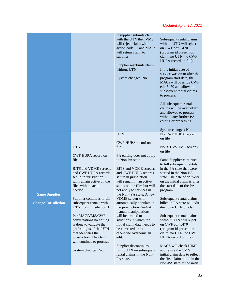|                                                    |                                                                                                                                                                                                                                                                                                                                                                                                                                                                                        | If supplier submits claim<br>with the UTN then VMS<br>will reject claim with<br>action code 27 and MACs<br>will return claim to<br>supplier.<br>Supplier resubmits claim<br>without UTN.<br>System changes: No                                                                                                                                                                                                                                                                                                                                                                                                                           | Subsequent rental claims<br>without UTN will reject<br>on CWF edit 5470<br>(program id present on<br>claim, no UTN, no CWF<br>HUPA record on file).<br>If the initial date of<br>service was on or after the<br>program start date, the<br>MACs will override CWF<br>edit 5470 and allow the<br>subsequent rental claims<br>to process.<br>All subsequent rental<br>claims will be overridden<br>and allowed to process<br>without any further PA<br>editing or processing.<br>System changes: No                                                                                                                                                                                     |
|----------------------------------------------------|----------------------------------------------------------------------------------------------------------------------------------------------------------------------------------------------------------------------------------------------------------------------------------------------------------------------------------------------------------------------------------------------------------------------------------------------------------------------------------------|------------------------------------------------------------------------------------------------------------------------------------------------------------------------------------------------------------------------------------------------------------------------------------------------------------------------------------------------------------------------------------------------------------------------------------------------------------------------------------------------------------------------------------------------------------------------------------------------------------------------------------------|---------------------------------------------------------------------------------------------------------------------------------------------------------------------------------------------------------------------------------------------------------------------------------------------------------------------------------------------------------------------------------------------------------------------------------------------------------------------------------------------------------------------------------------------------------------------------------------------------------------------------------------------------------------------------------------|
|                                                    |                                                                                                                                                                                                                                                                                                                                                                                                                                                                                        |                                                                                                                                                                                                                                                                                                                                                                                                                                                                                                                                                                                                                                          |                                                                                                                                                                                                                                                                                                                                                                                                                                                                                                                                                                                                                                                                                       |
| <b>Same Supplier</b><br><b>Change Jurisdiction</b> | <b>UTN</b><br>CWF HUPA record on<br>file<br>BITS and VDME screens<br>and CWF HUPA records<br>set up in jurisdiction 1<br>will remain active on the<br>files with no action<br>needed.<br>Supplier continues to bill<br>subsequent rentals with<br>UTN from jurisdiction 1.<br>Per MAC/VMS/CWF<br>conversations no editing<br>is done to validate the<br>prefix digits of the UTN<br>that identifies the<br>jurisdiction. The claim<br>will continue to process.<br>System changes: No. | <b>UTN</b><br>CWF HUPA record on<br>file<br>PA editing does not apply<br>to Non PA state<br>BITS and VDME screens<br>and CWF HUPA records<br>set up in jurisdiction 1<br>will remain in an active<br>status on the files but will<br>not apply to services in<br>the Non-PA state. A new<br><b>VDME</b> screen will<br>automatically populate in<br>the jurisdiction 2-MAC<br>manual manipulations<br>will be limited to<br>situations in which the<br>initial claim date needs to<br>be corrected or to<br>otherwise overcome an<br>edit.<br>Supplier discontinues<br>using UTN on subsequent<br>rental claims in the Non-<br>PA state. | No CWF HUPA record<br>on file<br>No BITS/VDME screens<br>on file<br>Same Supplier continues<br>to bill subsequent rentals<br>in the PA state that were<br>started in the Non-PA<br>state. The date of delivery<br>on the initial claim is after<br>the start date of the PA<br>program.<br>Subsequent rental claims<br>billed in PA state will edit<br>due to no UTN on claim.<br>Subsequent rental claims<br>without UTN will reject<br>on CWF edit 5470<br>(program id present on<br>claim, no UTN, no CWF<br>HUPA record on file).<br>MACS will check HIMR<br>and revise the CMN<br>initial claim date to reflect<br>the first claim billed in the<br>Non-PA state, if the initial |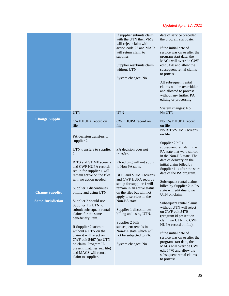|                                                    |                                                                                                                                                                                                                                                                                                                                                                                                                                                                                                                                                                                                                           | If supplier submits claim<br>with the UTN then VMS<br>will reject claim with<br>action code 27 and MACs<br>will return claim to<br>supplier.<br>Supplier resubmits claim<br>without UTN<br>System changes: No                                                                                                                                                                                                                                                         | date of service preceded<br>the program start date.<br>If the initial date of<br>service was on or after the<br>program start date, the<br>MACs will override CWF<br>edit 5470 and allow the<br>subsequent rental claims<br>to process.<br>All subsequent rental<br>claims will be overridden<br>and allowed to process<br>without any further PA<br>editing or processing.<br>System changes: No                                                                                                                                                                                                                                                                                                               |
|----------------------------------------------------|---------------------------------------------------------------------------------------------------------------------------------------------------------------------------------------------------------------------------------------------------------------------------------------------------------------------------------------------------------------------------------------------------------------------------------------------------------------------------------------------------------------------------------------------------------------------------------------------------------------------------|-----------------------------------------------------------------------------------------------------------------------------------------------------------------------------------------------------------------------------------------------------------------------------------------------------------------------------------------------------------------------------------------------------------------------------------------------------------------------|-----------------------------------------------------------------------------------------------------------------------------------------------------------------------------------------------------------------------------------------------------------------------------------------------------------------------------------------------------------------------------------------------------------------------------------------------------------------------------------------------------------------------------------------------------------------------------------------------------------------------------------------------------------------------------------------------------------------|
|                                                    | <b>UTN</b>                                                                                                                                                                                                                                                                                                                                                                                                                                                                                                                                                                                                                | <b>UTN</b>                                                                                                                                                                                                                                                                                                                                                                                                                                                            | No UTN                                                                                                                                                                                                                                                                                                                                                                                                                                                                                                                                                                                                                                                                                                          |
| <b>Change Supplier</b>                             | CWF HUPA record on<br>file                                                                                                                                                                                                                                                                                                                                                                                                                                                                                                                                                                                                | CWF HUPA record on<br>file                                                                                                                                                                                                                                                                                                                                                                                                                                            | No CWF HUPA record<br>on file                                                                                                                                                                                                                                                                                                                                                                                                                                                                                                                                                                                                                                                                                   |
| <b>Change Supplier</b><br><b>Same Jurisdiction</b> | PA decision transfers to<br>supplier 2<br>UTN transfers to supplier<br>$\overline{2}$<br><b>BITS</b> and VDME screens<br>and CWF HUPA records<br>set up for supplier 1 will<br>remain active on the files<br>with no action needed.<br>Supplier 1 discontinues<br>billing and using UTN.<br>Supplier 2 should use<br>Supplier 1's UTN to<br>submit subsequent rental<br>claims for the same<br>beneficiary/item.<br>If Supplier 2 submits<br>without a UTN on the<br>claim it will reject on<br>CWF edit 5467 (no UTN<br>on claim, Program ID<br>present, matches aux file)<br>and MACS will return<br>claim to supplier. | PA decision does not<br>transfer.<br>PA editing will not apply<br>to Non PA state.<br><b>BITS</b> and <b>VDME</b> screens<br>and CWF HUPA records<br>set up for supplier 1 will<br>remain in an active status<br>on the files but will not<br>apply to services in the<br>Non-PA state.<br>Supplier 1 discontinues<br>billing and using UTN.<br>Supplier 2 bills<br>subsequent rentals in<br>Non-PA state which will<br>not be subjected to PA.<br>System changes: No | No BITS/VDME screens<br>on file<br>Supplier 2 bills<br>subsequent rentals in the<br>PA state that were started<br>in the Non-PA state. The<br>date of delivery on the<br>initial claim billed by<br>Supplier 1 is after the start<br>date of the PA program.<br>Subsequent rental claims<br>billed by Supplier 2 in PA<br>state will edit due to no<br>UTN on claim.<br>Subsequent rental claims<br>without UTN will reject<br>on CWF edit 5470<br>(program id present on<br>claim, no UTN, no CWF<br>HUPA record on file).<br>If the initial date of<br>service was on or after the<br>program start date, the<br>MACs will override CWF<br>edit 5470 and allow the<br>subsequent rental claims<br>to process. |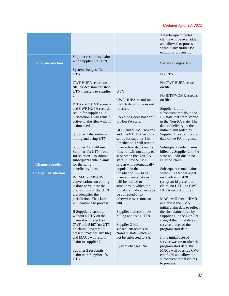|                                                      |                                                                                                                                                                                                                                                                                                                                                                                                                                                                                                                                                                                                                                                 |                                                                                                                                                                                                                                                                                                                                                                                                                                                                                                                                                                                 | All subsequent rental<br>claims will be overridden<br>and allowed to process<br>without any further PA<br>editing or processing.                                                                                                                                                                                                                                                                                                                                                                                                                                                                 |
|------------------------------------------------------|-------------------------------------------------------------------------------------------------------------------------------------------------------------------------------------------------------------------------------------------------------------------------------------------------------------------------------------------------------------------------------------------------------------------------------------------------------------------------------------------------------------------------------------------------------------------------------------------------------------------------------------------------|---------------------------------------------------------------------------------------------------------------------------------------------------------------------------------------------------------------------------------------------------------------------------------------------------------------------------------------------------------------------------------------------------------------------------------------------------------------------------------------------------------------------------------------------------------------------------------|--------------------------------------------------------------------------------------------------------------------------------------------------------------------------------------------------------------------------------------------------------------------------------------------------------------------------------------------------------------------------------------------------------------------------------------------------------------------------------------------------------------------------------------------------------------------------------------------------|
| <b>Same Jurisdiction</b>                             | Supplier resubmits claim<br>with Supplier 1's UTN.                                                                                                                                                                                                                                                                                                                                                                                                                                                                                                                                                                                              |                                                                                                                                                                                                                                                                                                                                                                                                                                                                                                                                                                                 | System changes: No.                                                                                                                                                                                                                                                                                                                                                                                                                                                                                                                                                                              |
| <b>Change Supplier</b><br><b>Change Jurisdiction</b> | System changes: No<br><b>UTN</b><br>CWF HUPA record on<br>file PA decision transfers<br>UTN transfers to supplier<br>2.<br>BITS and VDME screens<br>and CWF HUPA records<br>set up for supplier 1 in<br>jurisdiction 1 will remain<br>active on the files with no<br>action needed.<br>Supplier 1 discontinues<br>billing and using UTN.<br>Supplier 2 should use<br>Supplier 1's UTN from<br>Jurisdiction 1 to submit<br>subsequent rental claims<br>for the same<br>beneficiary/item.<br>Per MAC/VMS/CWF<br>conversations no editing<br>is done to validate the<br>prefix digits of the UTN<br>that identifies the<br>jurisdiction. The claim | <b>UTN</b><br>CWF HUPA record on<br>file PA decision does not<br>transfer.<br>PA editing does not apply<br>to Non PA state.<br>BITS and VDME screens<br>and CWF HUPA records<br>set up for supplier 1 in<br>jurisdiction 1 will remain<br>in an active status on the<br>files but will not apply to<br>services in the Non-PA<br>state. A new VDME<br>screen will automatically<br>populate in the<br>jurisdiction 2-MAC<br>manual manipulations<br>will be limited to<br>situations in which the<br>initial claim date needs to<br>be corrected or to<br>otherwise overcome an | No UTN<br>No CWF HUPA record<br>on file.<br>No BITS/VDME screens<br>on file.<br>Supplier 2 bills<br>subsequent rentals in the<br>PA state that were started<br>in the Non-PA state. The<br>date of delivery on the<br>initial claim billed by<br>Supplier 1 is after the start<br>date of the PA program.<br>Subsequent rental claims<br>billed by Supplier 2 in PA<br>state will edit due to no<br>UTN on claim.<br>Subsequent rental claims<br>without UTN will reject<br>on CWF edit 5470<br>(program id present on<br>claim, no UTN, no CWF<br>HUPA record on file).<br>MACs will check HIMR |
|                                                      | will continue to process.<br>If Supplier 2 submits<br>without a UTN on the<br>claim it will reject on<br>CWF edit 5467 (no UTN<br>on claim, Program ID<br>present, matches aux file)<br>and MACs will return<br>claim to supplier 2.<br>Supplier 2 resubmits<br>claim with Supplier 1's<br>UTN.                                                                                                                                                                                                                                                                                                                                                 | edit.<br>Supplier 1 discontinues<br>billing and using UTN.<br>Supplier 2 bills<br>subsequent rentals in<br>Non-PA state which will<br>not be subjected to PA.<br>System changes: No                                                                                                                                                                                                                                                                                                                                                                                             | and revise the CMN<br>initial claim date to reflect<br>the first claim billed by<br>Supplier 1 in the Non-PA<br>state, if the initial date of<br>service preceded the<br>program start date.<br>If the initial date of<br>service was on or after the<br>program start date, the<br>MACs will override CWF<br>edit 5470 and allow the<br>subsequent rental claims<br>to process.                                                                                                                                                                                                                 |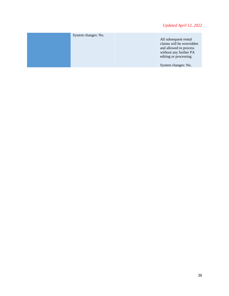| System changes: No. | All subsequent rental<br>claims will be overridden<br>and allowed to process<br>without any further PA<br>editing or processing.<br>System changes: No. |
|---------------------|---------------------------------------------------------------------------------------------------------------------------------------------------------|
|---------------------|---------------------------------------------------------------------------------------------------------------------------------------------------------|